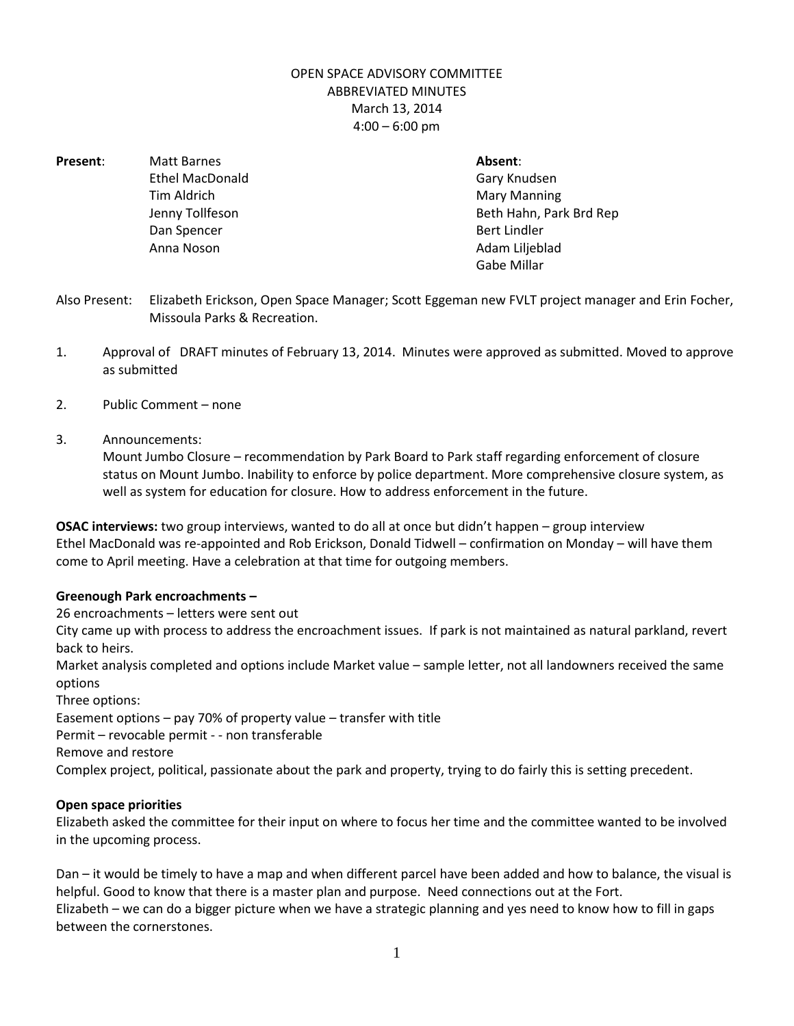## OPEN SPACE ADVISORY COMMITTEE ABBREVIATED MINUTES March 13, 2014  $4:00 - 6:00$  pm

**Present**: Matt Barnes **Absent**: Dan Spencer Bert Lindler

Ethel MacDonald Gary Knudsen Tim Aldrich **Mary Manning** Jenny Tollfeson **Beth Hahn, Park Brd Rep** Anna Noson **Adam Liljeblad** Gabe Millar

- Also Present: Elizabeth Erickson, Open Space Manager; Scott Eggeman new FVLT project manager and Erin Focher, Missoula Parks & Recreation.
- 1. Approval of DRAFT minutes of February 13, 2014. Minutes were approved as submitted. Moved to approve as submitted
- 2. Public Comment none
- 3. Announcements:

Mount Jumbo Closure – recommendation by Park Board to Park staff regarding enforcement of closure status on Mount Jumbo. Inability to enforce by police department. More comprehensive closure system, as well as system for education for closure. How to address enforcement in the future.

**OSAC interviews:** two group interviews, wanted to do all at once but didn't happen – group interview Ethel MacDonald was re-appointed and Rob Erickson, Donald Tidwell – confirmation on Monday – will have them come to April meeting. Have a celebration at that time for outgoing members.

## **Greenough Park encroachments –**

26 encroachments – letters were sent out

City came up with process to address the encroachment issues. If park is not maintained as natural parkland, revert back to heirs.

Market analysis completed and options include Market value – sample letter, not all landowners received the same options

Three options:

Easement options – pay 70% of property value – transfer with title

Permit – revocable permit - - non transferable

Remove and restore

Complex project, political, passionate about the park and property, trying to do fairly this is setting precedent.

## **Open space priorities**

Elizabeth asked the committee for their input on where to focus her time and the committee wanted to be involved in the upcoming process.

Dan – it would be timely to have a map and when different parcel have been added and how to balance, the visual is helpful. Good to know that there is a master plan and purpose. Need connections out at the Fort. Elizabeth – we can do a bigger picture when we have a strategic planning and yes need to know how to fill in gaps between the cornerstones.